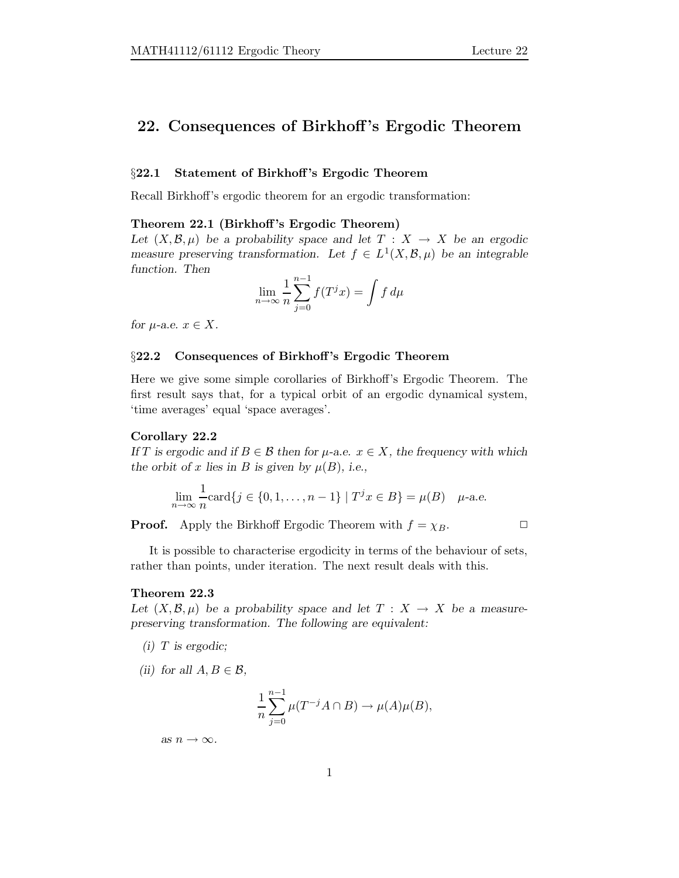# 22. Consequences of Birkhoff's Ergodic Theorem

# §22.1 Statement of Birkhoff's Ergodic Theorem

Recall Birkhoff's ergodic theorem for an ergodic transformation:

## Theorem 22.1 (Birkhoff's Ergodic Theorem)

Let  $(X, \mathcal{B}, \mu)$  be a probability space and let  $T : X \to X$  be an ergodic measure preserving transformation. Let  $f \in L^1(X, \mathcal{B}, \mu)$  be an integrable function. Then

$$
\lim_{n \to \infty} \frac{1}{n} \sum_{j=0}^{n-1} f(T^j x) = \int f d\mu
$$

for  $\mu$ -a.e.  $x \in X$ .

## §22.2 Consequences of Birkhoff's Ergodic Theorem

Here we give some simple corollaries of Birkhoff's Ergodic Theorem. The first result says that, for a typical orbit of an ergodic dynamical system, 'time averages' equal 'space averages'.

## Corollary 22.2

If T is ergodic and if  $B \in \mathcal{B}$  then for  $\mu$ -a.e.  $x \in X$ , the frequency with which the orbit of x lies in B is given by  $\mu(B)$ , i.e.,

$$
\lim_{n \to \infty} \frac{1}{n} \text{card}\{j \in \{0, 1, \dots, n-1\} \mid T^j x \in B\} = \mu(B) \quad \mu\text{-a.e.}
$$

**Proof.** Apply the Birkhoff Ergodic Theorem with  $f = \chi_B$ .

It is possible to characterise ergodicity in terms of the behaviour of sets, rather than points, under iteration. The next result deals with this.

# Theorem 22.3

Let  $(X, \mathcal{B}, \mu)$  be a probability space and let  $T : X \to X$  be a measurepreserving transformation. The following are equivalent:

 $(i)$  T is ergodic;

(ii) for all  $A, B \in \mathcal{B}$ ,

$$
\frac{1}{n}\sum_{j=0}^{n-1}\mu(T^{-j}A\cap B)\to \mu(A)\mu(B),
$$

as  $n \to \infty$ .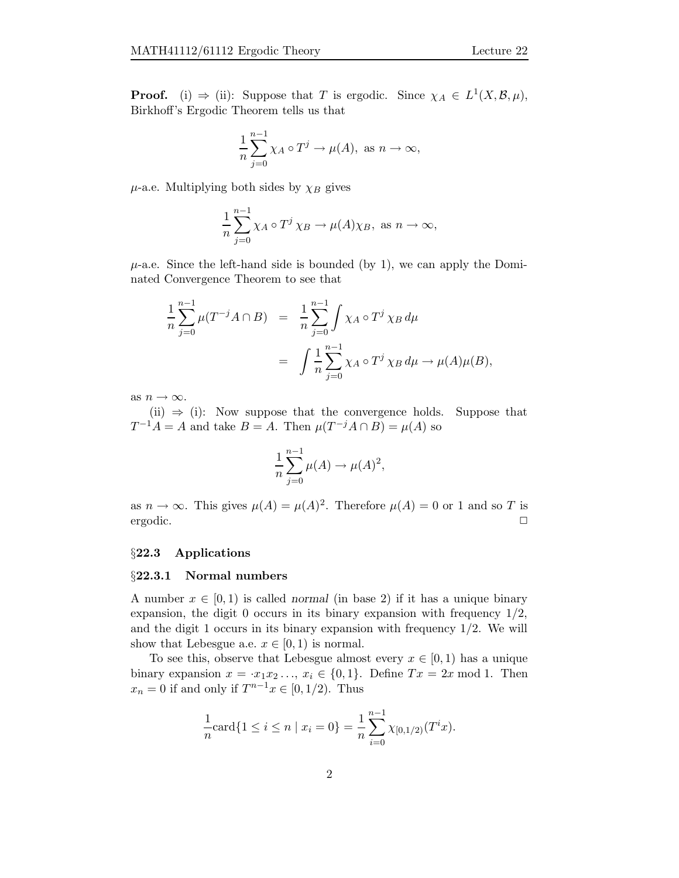**Proof.** (i)  $\Rightarrow$  (ii): Suppose that T is ergodic. Since  $\chi_A \in L^1(X, \mathcal{B}, \mu)$ , Birkhoff's Ergodic Theorem tells us that

$$
\frac{1}{n}\sum_{j=0}^{n-1}\chi_A\circ T^j\to \mu(A),\,\,\text{as}\,\,n\to\infty,
$$

 $\mu$ -a.e. Multiplying both sides by  $\chi_B$  gives

$$
\frac{1}{n}\sum_{j=0}^{n-1}\chi_A\circ T^j\,\chi_B\to\mu(A)\chi_B,\text{ as }n\to\infty,
$$

 $\mu$ -a.e. Since the left-hand side is bounded (by 1), we can apply the Dominated Convergence Theorem to see that

$$
\frac{1}{n} \sum_{j=0}^{n-1} \mu(T^{-j}A \cap B) = \frac{1}{n} \sum_{j=0}^{n-1} \int \chi_A \circ T^j \chi_B d\mu
$$
  
= 
$$
\int \frac{1}{n} \sum_{j=0}^{n-1} \chi_A \circ T^j \chi_B d\mu \to \mu(A)\mu(B),
$$

as  $n \to \infty$ .

(ii)  $\Rightarrow$  (i): Now suppose that the convergence holds. Suppose that  $T^{-1}A = A$  and take  $B = A$ . Then  $\mu(T^{-j}A \cap B) = \mu(A)$  so

$$
\frac{1}{n}\sum_{j=0}^{n-1}\mu(A)\to \mu(A)^2,
$$

as  $n \to \infty$ . This gives  $\mu(A) = \mu(A)^2$ . Therefore  $\mu(A) = 0$  or 1 and so T is ergodic. ✷

## §22.3 Applications

## §22.3.1 Normal numbers

A number  $x \in [0, 1)$  is called normal (in base 2) if it has a unique binary expansion, the digit 0 occurs in its binary expansion with frequency  $1/2$ , and the digit 1 occurs in its binary expansion with frequency  $1/2$ . We will show that Lebesgue a.e.  $x \in [0,1)$  is normal.

To see this, observe that Lebesgue almost every  $x \in [0, 1)$  has a unique binary expansion  $x = x_1x_2..., x_i \in \{0,1\}$ . Define  $Tx = 2x \mod 1$ . Then  $x_n = 0$  if and only if  $T^{n-1}x \in [0, 1/2)$ . Thus

$$
\frac{1}{n}\text{card}\{1 \leq i \leq n \mid x_i = 0\} = \frac{1}{n}\sum_{i=0}^{n-1} \chi_{[0,1/2)}(T^i x).
$$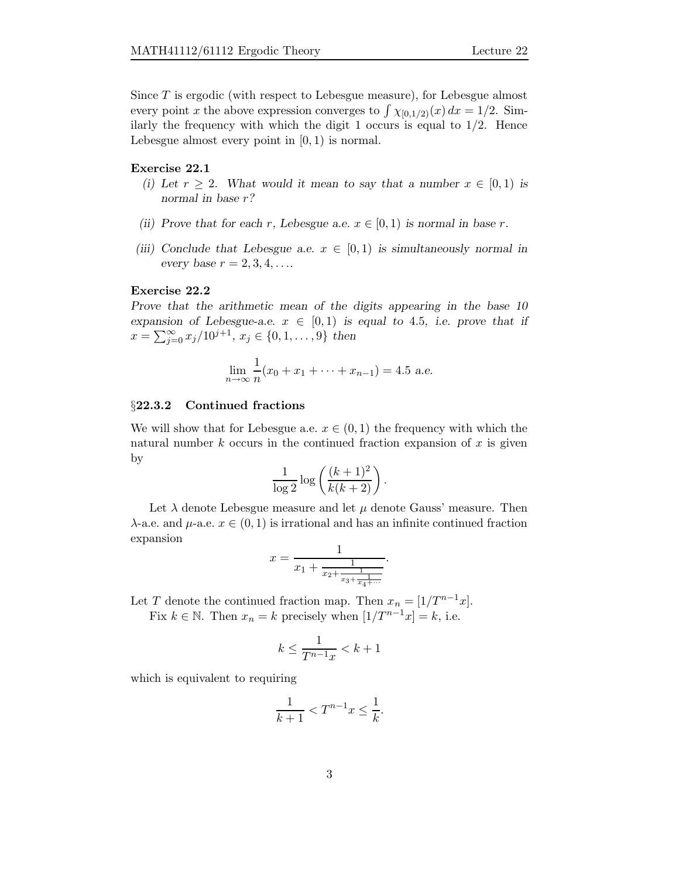Since T is ergodic (with respect to Lebesgue measure), for Lebesgue almost every point x the above expression converges to  $\int \chi_{[0,1/2)}(x) dx = 1/2$ . Similarly the frequency with which the digit 1 occurs is equal to  $1/2$ . Hence Lebesgue almost every point in  $[0, 1)$  is normal.

## Exercise 22.1

- (i) Let  $r \geq 2$ . What would it mean to say that a number  $x \in [0,1)$  is normal in base r?
- (ii) Prove that for each r, Lebesgue a.e.  $x \in [0,1)$  is normal in base r.
- (iii) Conclude that Lebesgue a.e.  $x \in [0,1)$  is simultaneously normal in every base  $r = 2, 3, 4, \ldots$

# Exercise 22.2

Prove that the arithmetic mean of the digits appearing in the base 10 expansion of Lebesgue-a.e.  $x \in [0,1)$  is equal to 4.5, i.e. prove that if  $x = \sum_{j=0}^{\infty} x_j/10^{j+1}, x_j \in \{0, 1, \ldots, 9\}$  then

$$
\lim_{n \to \infty} \frac{1}{n} (x_0 + x_1 + \dots + x_{n-1}) = 4.5 \text{ a.e.}
$$

# §22.3.2 Continued fractions

We will show that for Lebesgue a.e.  $x \in (0,1)$  the frequency with which the natural number  $k$  occurs in the continued fraction expansion of  $x$  is given by

$$
\frac{1}{\log 2} \log \left( \frac{(k+1)^2}{k(k+2)} \right).
$$

Let  $\lambda$  denote Lebesgue measure and let  $\mu$  denote Gauss' measure. Then  $\lambda$ -a.e. and  $\mu$ -a.e.  $x \in (0,1)$  is irrational and has an infinite continued fraction expansion

$$
x = \frac{1}{x_1 + \frac{1}{x_2 + \frac{1}{x_3 + \frac{1}{x_4 + \dotsb}}}}.
$$

Let T denote the continued fraction map. Then  $x_n = \lfloor 1/T^{n-1}x \rfloor$ .

Fix  $k \in \mathbb{N}$ . Then  $x_n = k$  precisely when  $[1/T^{n-1}x] = k$ , i.e.

$$
k \le \frac{1}{T^{n-1}x} < k+1
$$

which is equivalent to requiring

$$
\frac{1}{k+1} < T^{n-1}x \le \frac{1}{k}.
$$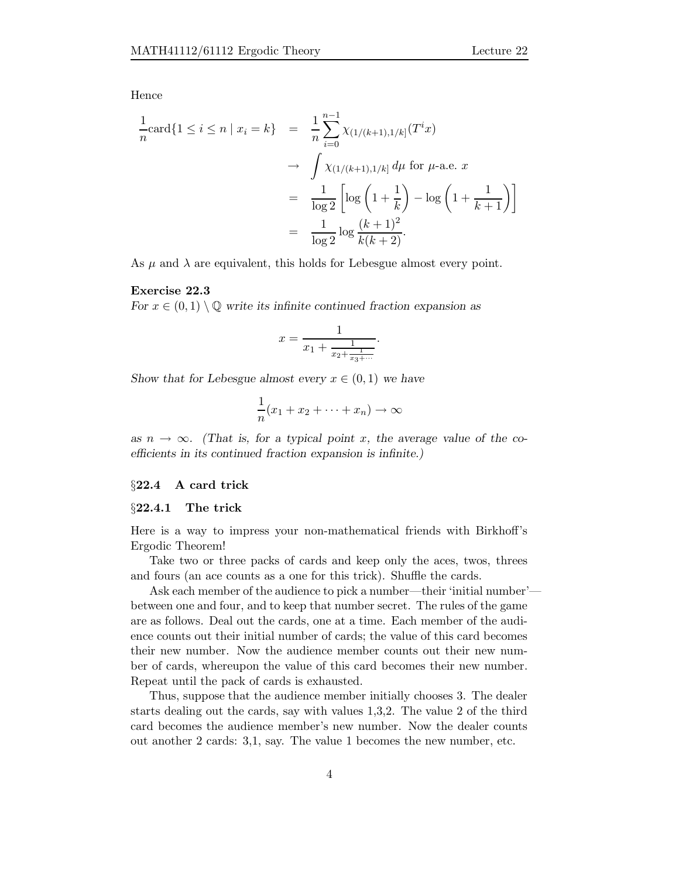Hence

$$
\frac{1}{n}\text{card}\{1 \leq i \leq n \mid x_i = k\} = \frac{1}{n}\sum_{i=0}^{n-1} \chi_{(1/(k+1),1/k]}(T^i x) \n\to \int \chi_{(1/(k+1),1/k]} d\mu \text{ for } \mu\text{-a.e. } x \n= \frac{1}{\log 2} \left[ \log \left(1 + \frac{1}{k}\right) - \log \left(1 + \frac{1}{k+1}\right) \right] \n= \frac{1}{\log 2} \log \frac{(k+1)^2}{k(k+2)}.
$$

As  $\mu$  and  $\lambda$  are equivalent, this holds for Lebesgue almost every point.

# Exercise 22.3

For  $x \in (0,1) \setminus \mathbb{Q}$  write its infinite continued fraction expansion as

$$
x = \frac{1}{x_1 + \frac{1}{x_2 + \frac{1}{x_3 + \dots}}}.
$$

Show that for Lebesgue almost every  $x \in (0,1)$  we have

$$
\frac{1}{n}(x_1 + x_2 + \dots + x_n) \to \infty
$$

as  $n \to \infty$ . (That is, for a typical point x, the average value of the coefficients in its continued fraction expansion is infinite.)

## §22.4 A card trick

## §22.4.1 The trick

Here is a way to impress your non-mathematical friends with Birkhoff's Ergodic Theorem!

Take two or three packs of cards and keep only the aces, twos, threes and fours (an ace counts as a one for this trick). Shuffle the cards.

Ask each member of the audience to pick a number—their 'initial number' between one and four, and to keep that number secret. The rules of the game are as follows. Deal out the cards, one at a time. Each member of the audience counts out their initial number of cards; the value of this card becomes their new number. Now the audience member counts out their new number of cards, whereupon the value of this card becomes their new number. Repeat until the pack of cards is exhausted.

Thus, suppose that the audience member initially chooses 3. The dealer starts dealing out the cards, say with values 1,3,2. The value 2 of the third card becomes the audience member's new number. Now the dealer counts out another 2 cards: 3,1, say. The value 1 becomes the new number, etc.